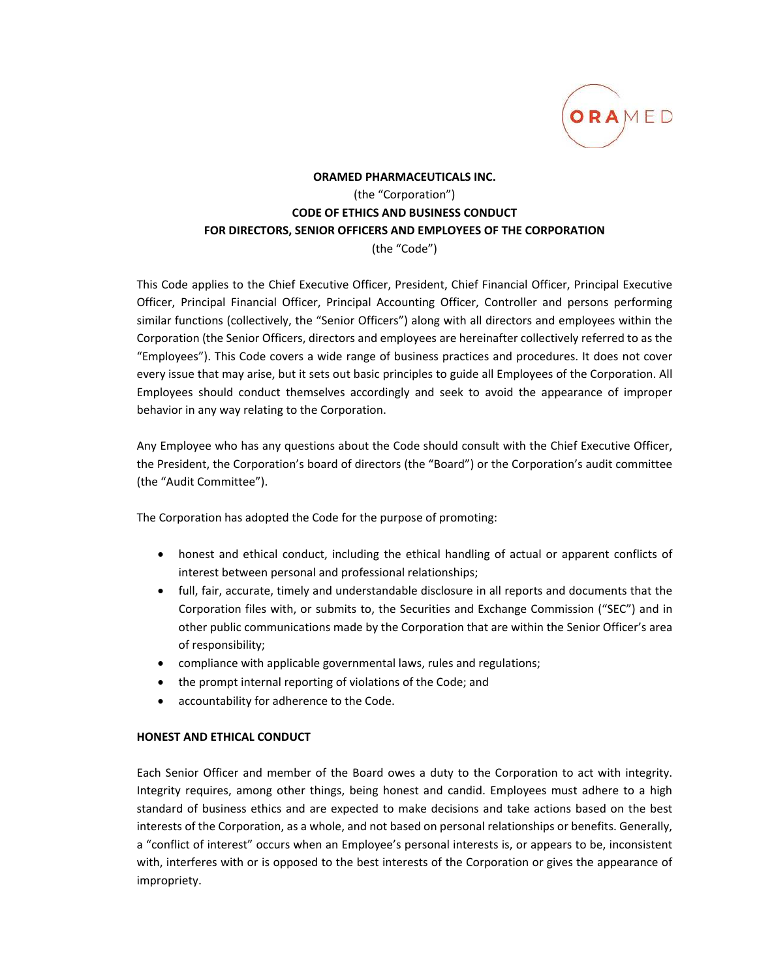

# **ORAMED PHARMACEUTICALS INC.** (the "Corporation") **CODE OF ETHICS AND BUSINESS CONDUCT FOR DIRECTORS, SENIOR OFFICERS AND EMPLOYEES OF THE CORPORATION** (the "Code")

This Code applies to the Chief Executive Officer, President, Chief Financial Officer, Principal Executive Officer, Principal Financial Officer, Principal Accounting Officer, Controller and persons performing similar functions (collectively, the "Senior Officers") along with all directors and employees within the Corporation (the Senior Officers, directors and employees are hereinafter collectively referred to as the "Employees"). This Code covers a wide range of business practices and procedures. It does not cover every issue that may arise, but it sets out basic principles to guide all Employees of the Corporation. All Employees should conduct themselves accordingly and seek to avoid the appearance of improper behavior in any way relating to the Corporation.

Any Employee who has any questions about the Code should consult with the Chief Executive Officer, the President, the Corporation's board of directors (the "Board") or the Corporation's audit committee (the "Audit Committee").

The Corporation has adopted the Code for the purpose of promoting:

- honest and ethical conduct, including the ethical handling of actual or apparent conflicts of interest between personal and professional relationships;
- full, fair, accurate, timely and understandable disclosure in all reports and documents that the Corporation files with, or submits to, the Securities and Exchange Commission ("SEC") and in other public communications made by the Corporation that are within the Senior Officer's area of responsibility;
- compliance with applicable governmental laws, rules and regulations;
- the prompt internal reporting of violations of the Code; and
- accountability for adherence to the Code.

## **HONEST AND ETHICAL CONDUCT**

Each Senior Officer and member of the Board owes a duty to the Corporation to act with integrity. Integrity requires, among other things, being honest and candid. Employees must adhere to a high standard of business ethics and are expected to make decisions and take actions based on the best interests of the Corporation, as a whole, and not based on personal relationships or benefits. Generally, a "conflict of interest" occurs when an Employee's personal interests is, or appears to be, inconsistent with, interferes with or is opposed to the best interests of the Corporation or gives the appearance of impropriety.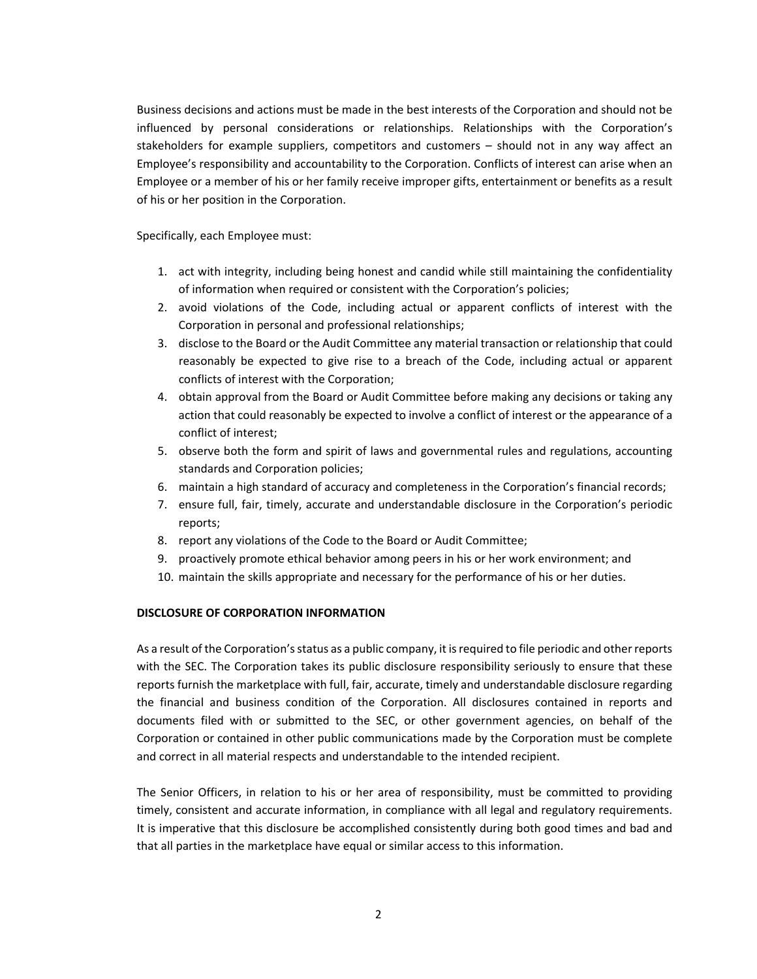Business decisions and actions must be made in the best interests of the Corporation and should not be influenced by personal considerations or relationships. Relationships with the Corporation's stakeholders for example suppliers, competitors and customers – should not in any way affect an Employee's responsibility and accountability to the Corporation. Conflicts of interest can arise when an Employee or a member of his or her family receive improper gifts, entertainment or benefits as a result of his or her position in the Corporation.

Specifically, each Employee must:

- 1. act with integrity, including being honest and candid while still maintaining the confidentiality of information when required or consistent with the Corporation's policies;
- 2. avoid violations of the Code, including actual or apparent conflicts of interest with the Corporation in personal and professional relationships;
- 3. disclose to the Board or the Audit Committee any material transaction or relationship that could reasonably be expected to give rise to a breach of the Code, including actual or apparent conflicts of interest with the Corporation;
- 4. obtain approval from the Board or Audit Committee before making any decisions or taking any action that could reasonably be expected to involve a conflict of interest or the appearance of a conflict of interest;
- 5. observe both the form and spirit of laws and governmental rules and regulations, accounting standards and Corporation policies;
- 6. maintain a high standard of accuracy and completeness in the Corporation's financial records;
- 7. ensure full, fair, timely, accurate and understandable disclosure in the Corporation's periodic reports;
- 8. report any violations of the Code to the Board or Audit Committee;
- 9. proactively promote ethical behavior among peers in his or her work environment; and
- 10. maintain the skills appropriate and necessary for the performance of his or her duties.

### **DISCLOSURE OF CORPORATION INFORMATION**

As a result of the Corporation's status as a public company, it is required to file periodic and other reports with the SEC. The Corporation takes its public disclosure responsibility seriously to ensure that these reports furnish the marketplace with full, fair, accurate, timely and understandable disclosure regarding the financial and business condition of the Corporation. All disclosures contained in reports and documents filed with or submitted to the SEC, or other government agencies, on behalf of the Corporation or contained in other public communications made by the Corporation must be complete and correct in all material respects and understandable to the intended recipient.

The Senior Officers, in relation to his or her area of responsibility, must be committed to providing timely, consistent and accurate information, in compliance with all legal and regulatory requirements. It is imperative that this disclosure be accomplished consistently during both good times and bad and that all parties in the marketplace have equal or similar access to this information.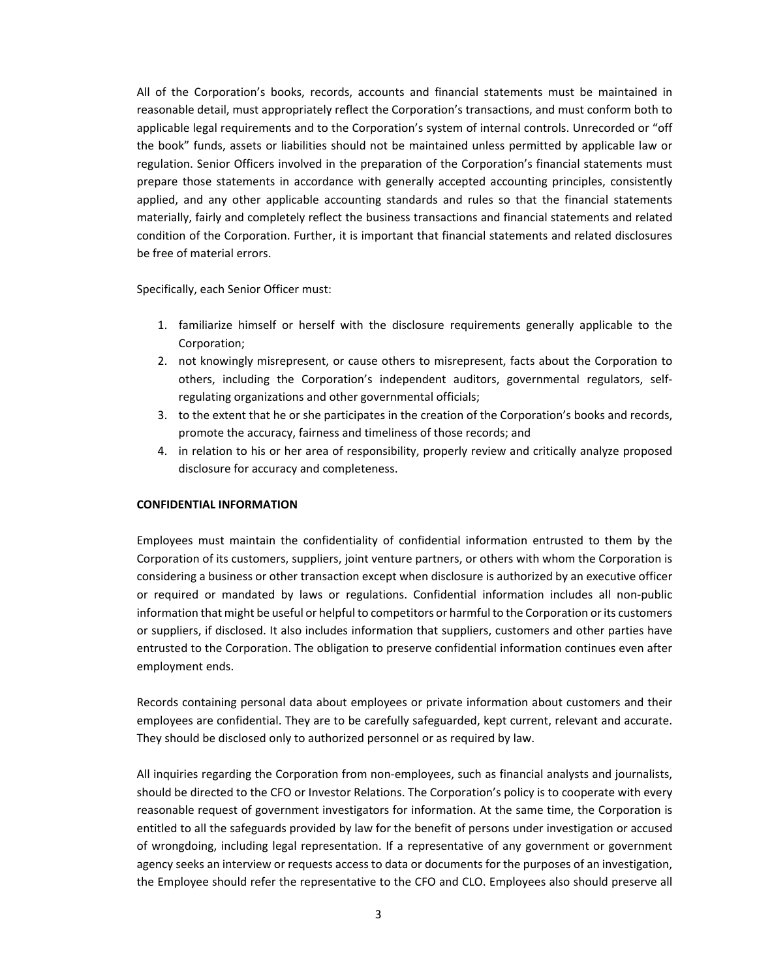All of the Corporation's books, records, accounts and financial statements must be maintained in reasonable detail, must appropriately reflect the Corporation's transactions, and must conform both to applicable legal requirements and to the Corporation's system of internal controls. Unrecorded or "off the book" funds, assets or liabilities should not be maintained unless permitted by applicable law or regulation. Senior Officers involved in the preparation of the Corporation's financial statements must prepare those statements in accordance with generally accepted accounting principles, consistently applied, and any other applicable accounting standards and rules so that the financial statements materially, fairly and completely reflect the business transactions and financial statements and related condition of the Corporation. Further, it is important that financial statements and related disclosures be free of material errors.

Specifically, each Senior Officer must:

- 1. familiarize himself or herself with the disclosure requirements generally applicable to the Corporation;
- 2. not knowingly misrepresent, or cause others to misrepresent, facts about the Corporation to others, including the Corporation's independent auditors, governmental regulators, self‐ regulating organizations and other governmental officials;
- 3. to the extent that he or she participates in the creation of the Corporation's books and records, promote the accuracy, fairness and timeliness of those records; and
- 4. in relation to his or her area of responsibility, properly review and critically analyze proposed disclosure for accuracy and completeness.

#### **CONFIDENTIAL INFORMATION**

Employees must maintain the confidentiality of confidential information entrusted to them by the Corporation of its customers, suppliers, joint venture partners, or others with whom the Corporation is considering a business or other transaction except when disclosure is authorized by an executive officer or required or mandated by laws or regulations. Confidential information includes all non‐public information that might be useful or helpful to competitors or harmful to the Corporation or its customers or suppliers, if disclosed. It also includes information that suppliers, customers and other parties have entrusted to the Corporation. The obligation to preserve confidential information continues even after employment ends.

Records containing personal data about employees or private information about customers and their employees are confidential. They are to be carefully safeguarded, kept current, relevant and accurate. They should be disclosed only to authorized personnel or as required by law.

All inquiries regarding the Corporation from non‐employees, such as financial analysts and journalists, should be directed to the CFO or Investor Relations. The Corporation's policy is to cooperate with every reasonable request of government investigators for information. At the same time, the Corporation is entitled to all the safeguards provided by law for the benefit of persons under investigation or accused of wrongdoing, including legal representation. If a representative of any government or government agency seeks an interview or requests access to data or documents for the purposes of an investigation, the Employee should refer the representative to the CFO and CLO. Employees also should preserve all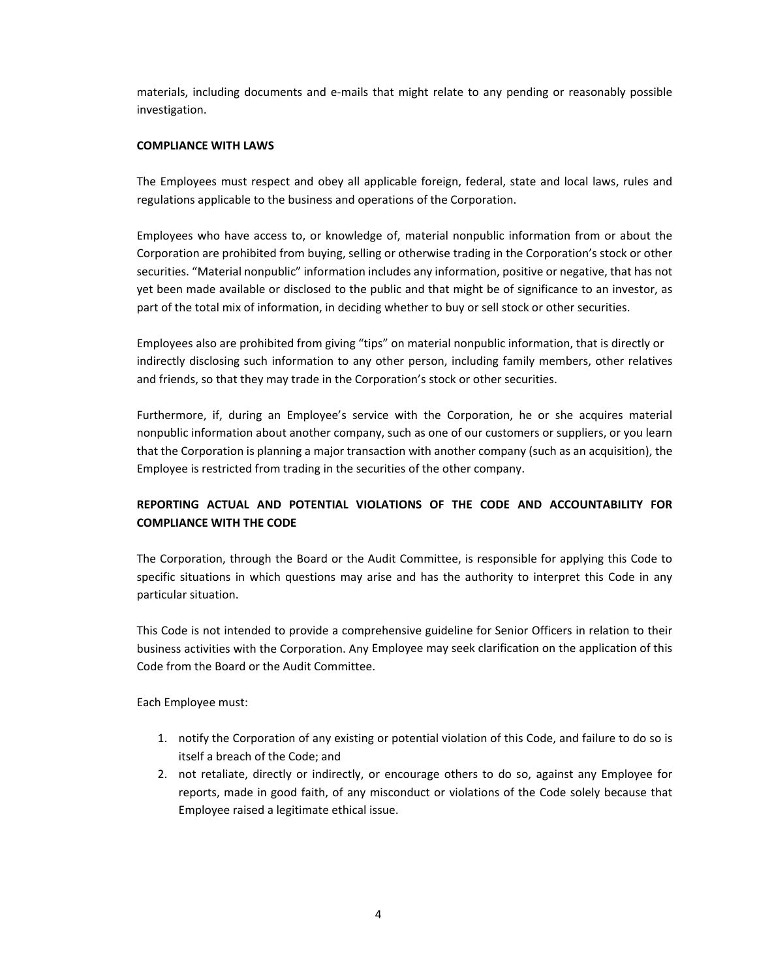materials, including documents and e‐mails that might relate to any pending or reasonably possible investigation.

### **COMPLIANCE WITH LAWS**

The Employees must respect and obey all applicable foreign, federal, state and local laws, rules and regulations applicable to the business and operations of the Corporation.

Employees who have access to, or knowledge of, material nonpublic information from or about the Corporation are prohibited from buying, selling or otherwise trading in the Corporation's stock or other securities. "Material nonpublic" information includes any information, positive or negative, that has not yet been made available or disclosed to the public and that might be of significance to an investor, as part of the total mix of information, in deciding whether to buy or sell stock or other securities.

Employees also are prohibited from giving "tips" on material nonpublic information, that is directly or indirectly disclosing such information to any other person, including family members, other relatives and friends, so that they may trade in the Corporation's stock or other securities.

Furthermore, if, during an Employee's service with the Corporation, he or she acquires material nonpublic information about another company, such as one of our customers or suppliers, or you learn that the Corporation is planning a major transaction with another company (such as an acquisition), the Employee is restricted from trading in the securities of the other company.

## **REPORTING ACTUAL AND POTENTIAL VIOLATIONS OF THE CODE AND ACCOUNTABILITY FOR COMPLIANCE WITH THE CODE**

The Corporation, through the Board or the Audit Committee, is responsible for applying this Code to specific situations in which questions may arise and has the authority to interpret this Code in any particular situation.

This Code is not intended to provide a comprehensive guideline for Senior Officers in relation to their business activities with the Corporation. Any Employee may seek clarification on the application of this Code from the Board or the Audit Committee.

Each Employee must:

- 1. notify the Corporation of any existing or potential violation of this Code, and failure to do so is itself a breach of the Code; and
- 2. not retaliate, directly or indirectly, or encourage others to do so, against any Employee for reports, made in good faith, of any misconduct or violations of the Code solely because that Employee raised a legitimate ethical issue.